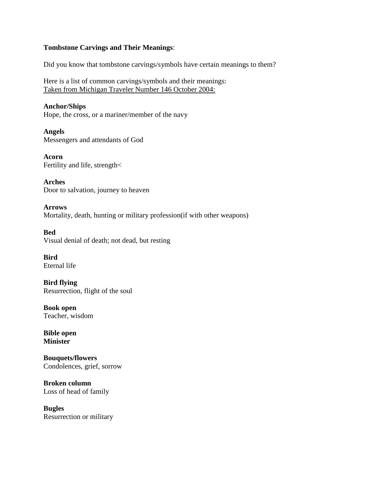# **Tombstone Carvings and Their Meanings**:

Did you know that tombstone carvings/symbols have certain meanings to them?

Here is a list of common carvings/symbols and their meanings: Taken from Michigan Traveler Number 146 October 2004:

**Anchor/Ships** Hope, the cross, or a mariner/member of the navy

**Angels** Messengers and attendants of God

**Acorn** Fertility and life, strength<

**Arches** Door to salvation, journey to heaven

**Arrows** Mortality, death, hunting or military profession(if with other weapons)

**Bed** Visual denial of death; not dead, but resting

**Bird** Eternal life

**Bird flying** Resurrection, flight of the soul

**Book open** Teacher, wisdom

**Bible open Minister**

**Bouquets/flowers** Condolences, grief, sorrow

**Broken column** Loss of head of family

**Bugles** Resurrection or military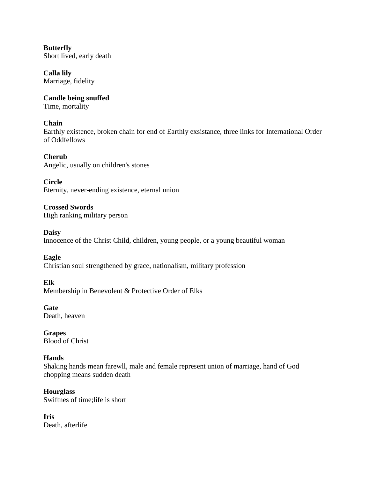**Butterfly** Short lived, early death

**Calla lily** Marriage, fidelity

**Candle being snuffed** Time, mortality

# **Chain**

Earthly existence, broken chain for end of Earthly exsistance, three links for International Order of Oddfellows

**Cherub**

Angelic, usually on children's stones

**Circle** Eternity, never-ending existence, eternal union

**Crossed Swords** High ranking military person

**Daisy** Innocence of the Christ Child, children, young people, or a young beautiful woman

**Eagle** Christian soul strengthened by grace, nationalism, military profession

**Elk**

Membership in Benevolent & Protective Order of Elks

**Gate** Death, heaven

**Grapes** Blood of Christ

# **Hands**

Shaking hands mean farewll, male and female represent union of marriage, hand of God chopping means sudden death

**Hourglass** Swiftnes of time;life is short

**Iris** Death, afterlife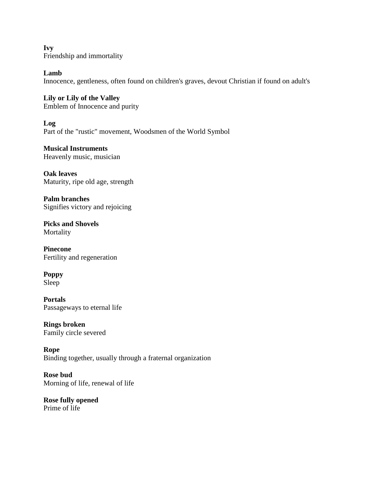**Ivy** Friendship and immortality

**Lamb** Innocence, gentleness, often found on children's graves, devout Christian if found on adult's

**Lily or Lily of the Valley** Emblem of Innocence and purity

**Log** Part of the "rustic" movement, Woodsmen of the World Symbol

**Musical Instruments** Heavenly music, musician

**Oak leaves** Maturity, ripe old age, strength

**Palm branches** Signifies victory and rejoicing

**Picks and Shovels** Mortality

**Pinecone** Fertility and regeneration

**Poppy** Sleep

**Portals** Passageways to eternal life

**Rings broken** Family circle severed

**Rope** Binding together, usually through a fraternal organization

**Rose bud** Morning of life, renewal of life

**Rose fully opened** Prime of life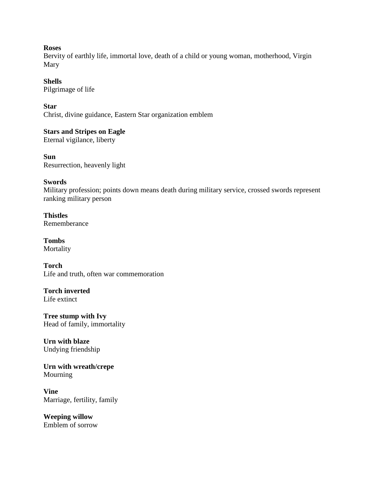#### **Roses**

Bervity of earthly life, immortal love, death of a child or young woman, motherhood, Virgin Mary

# **Shells**

Pilgrimage of life

# **Star**

Christ, divine guidance, Eastern Star organization emblem

**Stars and Stripes on Eagle** Eternal vigilance, liberty

**Sun** Resurrection, heavenly light

### **Swords**

Military profession; points down means death during military service, crossed swords represent ranking military person

**Thistles** Rememberance

**Tombs** Mortality

**Torch** Life and truth, often war commemoration

**Torch inverted** Life extinct

**Tree stump with Ivy** Head of family, immortality

**Urn with blaze** Undying friendship

**Urn with wreath/crepe** Mourning

**Vine** Marriage, fertility, family

**Weeping willow** Emblem of sorrow